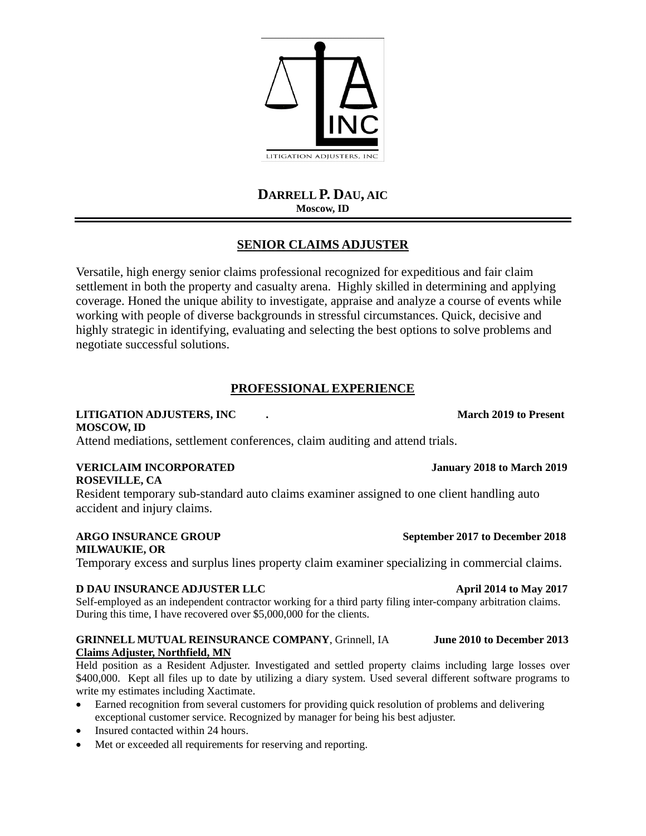**DARRELL P. DAU, AIC Moscow, ID**

# **SENIOR CLAIMS ADJUSTER**

Versatile, high energy senior claims professional recognized for expeditious and fair claim settlement in both the property and casualty arena. Highly skilled in determining and applying coverage. Honed the unique ability to investigate, appraise and analyze a course of events while working with people of diverse backgrounds in stressful circumstances. Quick, decisive and highly strategic in identifying, evaluating and selecting the best options to solve problems and negotiate successful solutions.

# **PROFESSIONAL EXPERIENCE**

### **LITIGATION ADJUSTERS, INC . March 2019 to Present MOSCOW, ID**

Attend mediations, settlement conferences, claim auditing and attend trials.

### **VERICLAIM INCORPORATED January 2018 to March 2019 ROSEVILLE, CA**

Resident temporary sub-standard auto claims examiner assigned to one client handling auto accident and injury claims.

### **ARGO INSURANCE GROUP September 2017 to December 2018 MILWAUKIE, OR**

Temporary excess and surplus lines property claim examiner specializing in commercial claims.

## **D DAU INSURANCE ADJUSTER LLC April 2014 to May 2017**

Self-employed as an independent contractor working for a third party filing inter-company arbitration claims. During this time, I have recovered over \$5,000,000 for the clients.

### **GRINNELL MUTUAL REINSURANCE COMPANY**, Grinnell, IA **June 2010 to December 2013 Claims Adjuster, Northfield, MN**

Held position as a Resident Adjuster. Investigated and settled property claims including large losses over \$400,000. Kept all files up to date by utilizing a diary system. Used several different software programs to write my estimates including Xactimate.

- Earned recognition from several customers for providing quick resolution of problems and delivering exceptional customer service. Recognized by manager for being his best adjuster.
- Insured contacted within 24 hours.
- Met or exceeded all requirements for reserving and reporting.